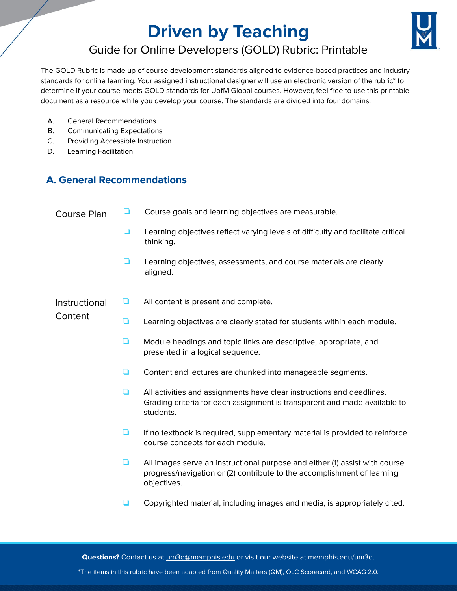# **Driven by Teaching**



# Guide for Online Developers (GOLD) Rubric: Printable

The GOLD Rubric is made up of course development standards aligned to evidence-based practices and industry standards for online learning. Your assigned instructional designer will use an electronic version of the rubric\* to determine if your course meets GOLD standards for UofM Global courses. However, feel free to use this printable document as a resource while you develop your course. The standards are divided into four domains:

- A. General Recommendations
- B. Communicating Expectations
- C. Providing Accessible Instruction
- D. Learning Facilitation

## **A. General Recommendations**

| <b>Course Plan</b>       | ப | Course goals and learning objectives are measurable.                                                                                                                  |
|--------------------------|---|-----------------------------------------------------------------------------------------------------------------------------------------------------------------------|
|                          | ◘ | Learning objectives reflect varying levels of difficulty and facilitate critical<br>thinking.                                                                         |
|                          | ப | Learning objectives, assessments, and course materials are clearly<br>aligned.                                                                                        |
| Instructional<br>Content | ⊔ | All content is present and complete.                                                                                                                                  |
|                          | ❏ | Learning objectives are clearly stated for students within each module.                                                                                               |
|                          | ▫ | Module headings and topic links are descriptive, appropriate, and<br>presented in a logical sequence.                                                                 |
|                          | ▭ | Content and lectures are chunked into manageable segments.                                                                                                            |
|                          | ◻ | All activities and assignments have clear instructions and deadlines.<br>Grading criteria for each assignment is transparent and made available to<br>students.       |
|                          | ◘ | If no textbook is required, supplementary material is provided to reinforce<br>course concepts for each module.                                                       |
|                          | ◘ | All images serve an instructional purpose and either (1) assist with course<br>progress/navigation or (2) contribute to the accomplishment of learning<br>objectives. |
|                          | ⊔ | Copyrighted material, including images and media, is appropriately cited.                                                                                             |

**Questions?** Contact us at [um3d@memphis.edu](mailto:um3d@memphis.edu) or visit our website at memphis.edu/um3d.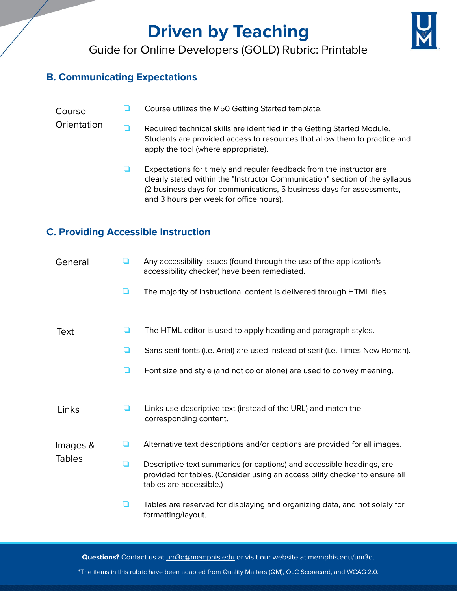# **Driven by Teaching**



# Guide for Online Developers (GOLD) Rubric: Printable

### **B. Communicating Expectations**

#### Course ❏ Course utilizes the M50 Getting Started template.

- **Orientation** ❏ Required technical skills are identified in the Getting Started Module. Students are provided access to resources that allow them to practice and apply the tool (where appropriate).
	- ❏ Expectations for timely and regular feedback from the instructor are clearly stated within the "Instructor Communication" section of the syllabus (2 business days for communications, 5 business days for assessments, and 3 hours per week for office hours).

## **C. Providing Accessible Instruction**

| General                   | ப | Any accessibility issues (found through the use of the application's<br>accessibility checker) have been remediated.                                                            |
|---------------------------|---|---------------------------------------------------------------------------------------------------------------------------------------------------------------------------------|
|                           | ◻ | The majority of instructional content is delivered through HTML files.                                                                                                          |
|                           |   |                                                                                                                                                                                 |
| Text                      | ◘ | The HTML editor is used to apply heading and paragraph styles.                                                                                                                  |
|                           | ◘ | Sans-serif fonts (i.e. Arial) are used instead of serif (i.e. Times New Roman).                                                                                                 |
|                           | ◘ | Font size and style (and not color alone) are used to convey meaning.                                                                                                           |
|                           |   |                                                                                                                                                                                 |
| Links                     | ப | Links use descriptive text (instead of the URL) and match the<br>corresponding content.                                                                                         |
| Images &<br><b>Tables</b> | ◘ | Alternative text descriptions and/or captions are provided for all images.                                                                                                      |
|                           |   |                                                                                                                                                                                 |
|                           | ◘ | Descriptive text summaries (or captions) and accessible headings, are<br>provided for tables. (Consider using an accessibility checker to ensure all<br>tables are accessible.) |
|                           | ❏ | Tables are reserved for displaying and organizing data, and not solely for<br>formatting/layout.                                                                                |

**Questions?** Contact us at [um3d@memphis.edu](mailto:um3d@memphis.edu) or visit our website at memphis.edu/um3d.